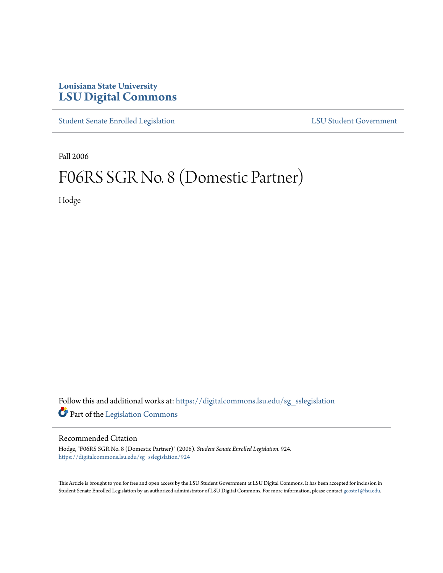## **Louisiana State University [LSU Digital Commons](https://digitalcommons.lsu.edu?utm_source=digitalcommons.lsu.edu%2Fsg_sslegislation%2F924&utm_medium=PDF&utm_campaign=PDFCoverPages)**

[Student Senate Enrolled Legislation](https://digitalcommons.lsu.edu/sg_sslegislation?utm_source=digitalcommons.lsu.edu%2Fsg_sslegislation%2F924&utm_medium=PDF&utm_campaign=PDFCoverPages) [LSU Student Government](https://digitalcommons.lsu.edu/sg?utm_source=digitalcommons.lsu.edu%2Fsg_sslegislation%2F924&utm_medium=PDF&utm_campaign=PDFCoverPages)

Fall 2006

## F06RS SGR No. 8 (Domestic Partner)

Hodge

Follow this and additional works at: [https://digitalcommons.lsu.edu/sg\\_sslegislation](https://digitalcommons.lsu.edu/sg_sslegislation?utm_source=digitalcommons.lsu.edu%2Fsg_sslegislation%2F924&utm_medium=PDF&utm_campaign=PDFCoverPages) Part of the [Legislation Commons](http://network.bepress.com/hgg/discipline/859?utm_source=digitalcommons.lsu.edu%2Fsg_sslegislation%2F924&utm_medium=PDF&utm_campaign=PDFCoverPages)

## Recommended Citation

Hodge, "F06RS SGR No. 8 (Domestic Partner)" (2006). *Student Senate Enrolled Legislation*. 924. [https://digitalcommons.lsu.edu/sg\\_sslegislation/924](https://digitalcommons.lsu.edu/sg_sslegislation/924?utm_source=digitalcommons.lsu.edu%2Fsg_sslegislation%2F924&utm_medium=PDF&utm_campaign=PDFCoverPages)

This Article is brought to you for free and open access by the LSU Student Government at LSU Digital Commons. It has been accepted for inclusion in Student Senate Enrolled Legislation by an authorized administrator of LSU Digital Commons. For more information, please contact [gcoste1@lsu.edu.](mailto:gcoste1@lsu.edu)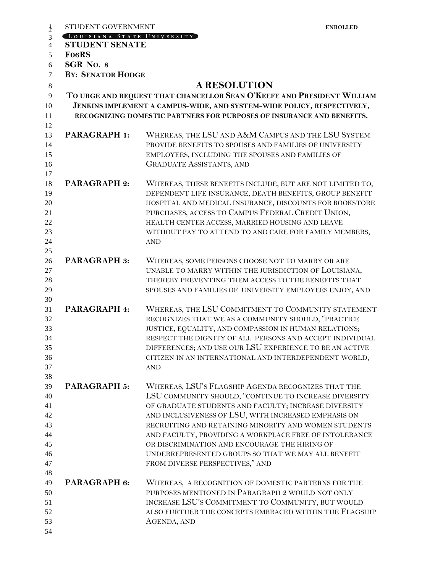| $\frac{1}{2}$                                            | STUDENT GOVERNMENT                                                                                                                                                                                                        |                                                                                                                                                                                                                                                                                                                                                                                                                                                                                         | <b>ENROLLED</b> |  |  |  |
|----------------------------------------------------------|---------------------------------------------------------------------------------------------------------------------------------------------------------------------------------------------------------------------------|-----------------------------------------------------------------------------------------------------------------------------------------------------------------------------------------------------------------------------------------------------------------------------------------------------------------------------------------------------------------------------------------------------------------------------------------------------------------------------------------|-----------------|--|--|--|
| $\overline{3}$                                           | LOUISIANA STATE UNIVERSITY                                                                                                                                                                                                |                                                                                                                                                                                                                                                                                                                                                                                                                                                                                         |                 |  |  |  |
| $\overline{4}$                                           | <b>STUDENT SENATE</b>                                                                                                                                                                                                     |                                                                                                                                                                                                                                                                                                                                                                                                                                                                                         |                 |  |  |  |
| 5                                                        | <b>FO6RS</b>                                                                                                                                                                                                              |                                                                                                                                                                                                                                                                                                                                                                                                                                                                                         |                 |  |  |  |
| 6                                                        | SGR No. 8                                                                                                                                                                                                                 |                                                                                                                                                                                                                                                                                                                                                                                                                                                                                         |                 |  |  |  |
| $\tau$                                                   | <b>BY: SENATOR HODGE</b>                                                                                                                                                                                                  |                                                                                                                                                                                                                                                                                                                                                                                                                                                                                         |                 |  |  |  |
| $\,8\,$                                                  |                                                                                                                                                                                                                           | <b>A RESOLUTION</b>                                                                                                                                                                                                                                                                                                                                                                                                                                                                     |                 |  |  |  |
| 9                                                        |                                                                                                                                                                                                                           |                                                                                                                                                                                                                                                                                                                                                                                                                                                                                         |                 |  |  |  |
| 10<br>11<br>12                                           | TO URGE AND REQUEST THAT CHANCELLOR SEAN O'KEEFE AND PRESIDENT WILLIAM<br>JENKINS IMPLEMENT A CAMPUS-WIDE, AND SYSTEM-WIDE POLICY, RESPECTIVELY,<br>RECOGNIZING DOMESTIC PARTNERS FOR PURPOSES OF INSURANCE AND BENEFITS. |                                                                                                                                                                                                                                                                                                                                                                                                                                                                                         |                 |  |  |  |
| 13<br>14<br>15<br>16<br>17                               | <b>PARAGRAPH 1:</b>                                                                                                                                                                                                       | WHEREAS, THE LSU AND A&M CAMPUS AND THE LSU SYSTEM<br>PROVIDE BENEFITS TO SPOUSES AND FAMILIES OF UNIVERSITY<br>EMPLOYEES, INCLUDING THE SPOUSES AND FAMILIES OF<br><b>GRADUATE ASSISTANTS, AND</b>                                                                                                                                                                                                                                                                                     |                 |  |  |  |
| 18<br>19<br>20<br>21<br>22<br>23<br>24<br>25             | <b>PARAGRAPH 2:</b>                                                                                                                                                                                                       | WHEREAS, THESE BENEFITS INCLUDE, BUT ARE NOT LIMITED TO,<br>DEPENDENT LIFE INSURANCE, DEATH BENEFITS, GROUP BENEFIT<br>HOSPITAL AND MEDICAL INSURANCE, DISCOUNTS FOR BOOKSTORE<br>PURCHASES, ACCESS TO CAMPUS FEDERAL CREDIT UNION,<br>HEALTH CENTER ACCESS, MARRIED HOUSING AND LEAVE<br>WITHOUT PAY TO ATTEND TO AND CARE FOR FAMILY MEMBERS,<br><b>AND</b>                                                                                                                           |                 |  |  |  |
| 26<br>27<br>28<br>29<br>30                               | <b>PARAGRAPH 3:</b>                                                                                                                                                                                                       | WHEREAS, SOME PERSONS CHOOSE NOT TO MARRY OR ARE<br>UNABLE TO MARRY WITHIN THE JURISDICTION OF LOUISIANA,<br>THEREBY PREVENTING THEM ACCESS TO THE BENEFITS THAT<br>SPOUSES AND FAMILIES OF UNIVERSITY EMPLOYEES ENJOY, AND                                                                                                                                                                                                                                                             |                 |  |  |  |
| 31<br>32<br>33<br>34<br>35<br>36<br>37                   | <b>PARAGRAPH 4:</b>                                                                                                                                                                                                       | WHEREAS, THE LSU COMMITMENT TO COMMUNITY STATEMENT<br>RECOGNIZES THAT WE AS A COMMUNITY SHOULD, "PRACTICE<br>JUSTICE, EQUALITY, AND COMPASSION IN HUMAN RELATIONS;<br>RESPECT THE DIGNITY OF ALL PERSONS AND ACCEPT INDIVIDUAL<br>DIFFERENCES; AND USE OUR LSU EXPERIENCE TO BE AN ACTIVE<br>CITIZEN IN AN INTERNATIONAL AND INTERDEPENDENT WORLD,<br><b>AND</b>                                                                                                                        |                 |  |  |  |
| 38<br>39<br>40<br>41<br>42<br>43<br>44<br>45<br>46<br>47 | <b>PARAGRAPH 5:</b>                                                                                                                                                                                                       | WHEREAS, LSU'S FLAGSHIP AGENDA RECOGNIZES THAT THE<br>LSU COMMUNITY SHOULD, "CONTINUE TO INCREASE DIVERSITY<br>OF GRADUATE STUDENTS AND FACULTY; INCREASE DIVERSITY<br>AND INCLUSIVENESS OF LSU, WITH INCREASED EMPHASIS ON<br>RECRUITING AND RETAINING MINORITY AND WOMEN STUDENTS<br>AND FACULTY, PROVIDING A WORKPLACE FREE OF INTOLERANCE<br>OR DISCRIMINATION AND ENCOURAGE THE HIRING OF<br>UNDERREPRESENTED GROUPS SO THAT WE MAY ALL BENEFIT<br>FROM DIVERSE PERSPECTIVES," AND |                 |  |  |  |
| 48<br>49<br>50<br>51<br>52<br>53<br>54                   | PARAGRAPH 6:                                                                                                                                                                                                              | WHEREAS, A RECOGNITION OF DOMESTIC PARTERNS FOR THE<br>PURPOSES MENTIONED IN PARAGRAPH 2 WOULD NOT ONLY<br>INCREASE LSU'S COMMITMENT TO COMMUNITY, BUT WOULD<br>ALSO FURTHER THE CONCEPTS EMBRACED WITHIN THE FLAGSHIP<br>AGENDA, AND                                                                                                                                                                                                                                                   |                 |  |  |  |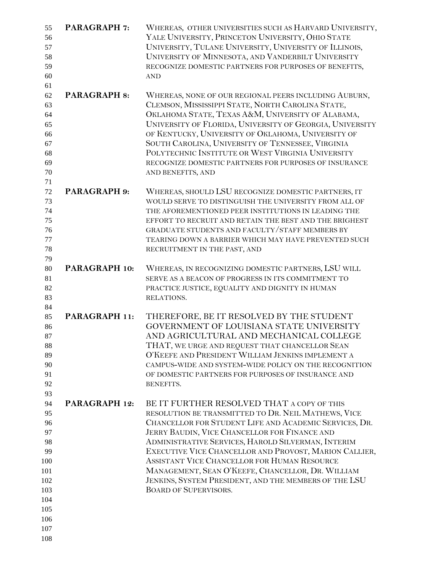| 55  | <b>PARAGRAPH 7:</b> | WHEREAS, OTHER UNIVERSITIES SUCH AS HARVARD UNIVERSITY,  |
|-----|---------------------|----------------------------------------------------------|
| 56  |                     | YALE UNIVERSITY, PRINCETON UNIVERSITY, OHIO STATE        |
| 57  |                     | UNIVERSITY, TULANE UNIVERSITY, UNIVERSITY OF ILLINOIS,   |
| 58  |                     | UNIVERSITY OF MINNESOTA, AND VANDERBILT UNIVERSITY       |
| 59  |                     | RECOGNIZE DOMESTIC PARTNERS FOR PURPOSES OF BENEFITS,    |
| 60  |                     | <b>AND</b>                                               |
| 61  |                     |                                                          |
| 62  | <b>PARAGRAPH 8:</b> | WHEREAS, NONE OF OUR REGIONAL PEERS INCLUDING AUBURN,    |
| 63  |                     | CLEMSON, MISSISSIPPI STATE, NORTH CAROLINA STATE,        |
| 64  |                     | OKLAHOMA STATE, TEXAS A&M, UNIVERSITY OF ALABAMA,        |
| 65  |                     | UNIVERSITY OF FLORIDA, UNIVERSITY OF GEORGIA, UNIVERSITY |
| 66  |                     | OF KENTUCKY, UNIVERSITY OF OKLAHOMA, UNIVERSITY OF       |
| 67  |                     | SOUTH CAROLINA, UNIVERSITY OF TENNESSEE, VIRGINIA        |
| 68  |                     | POLYTECHNIC INSTITUTE OR WEST VIRGINIA UNIVERSITY        |
| 69  |                     | RECOGNIZE DOMESTIC PARTNERS FOR PURPOSES OF INSURANCE    |
| 70  |                     | AND BENEFITS, AND                                        |
| 71  |                     |                                                          |
| 72  | <b>PARAGRAPH 9:</b> | WHEREAS, SHOULD LSU RECOGNIZE DOMESTIC PARTNERS, IT      |
| 73  |                     | WOULD SERVE TO DISTINGUISH THE UNIVERSITY FROM ALL OF    |
| 74  |                     | THE AFOREMENTIONED PEER INSTITUTIONS IN LEADING THE      |
| 75  |                     | EFFORT TO RECRUIT AND RETAIN THE BEST AND THE BRIGHEST   |
| 76  |                     | GRADUATE STUDENTS AND FACULTY/STAFF MEMBERS BY           |
| 77  |                     | TEARING DOWN A BARRIER WHICH MAY HAVE PREVENTED SUCH     |
| 78  |                     | RECRUITMENT IN THE PAST, AND                             |
| 79  |                     |                                                          |
| 80  | PARAGRAPH 10:       | WHEREAS, IN RECOGNIZING DOMESTIC PARTNERS, LSU WILL      |
| 81  |                     | SERVE AS A BEACON OF PROGRESS IN ITS COMMITMENT TO       |
| 82  |                     | PRACTICE JUSTICE, EQUALITY AND DIGNITY IN HUMAN          |
| 83  |                     | RELATIONS.                                               |
| 84  |                     |                                                          |
| 85  | PARAGRAPH 11:       | THEREFORE, BE IT RESOLVED BY THE STUDENT                 |
| 86  |                     | GOVERNMENT OF LOUISIANA STATE UNIVERSITY                 |
| 87  |                     | AND AGRICULTURAL AND MECHANICAL COLLEGE                  |
| 88  |                     | THAT, WE URGE AND REQUEST THAT CHANCELLOR SEAN           |
| 89  |                     | O'KEEFE AND PRESIDENT WILLIAM JENKINS IMPLEMENT A        |
| 90  |                     | CAMPUS-WIDE AND SYSTEM-WIDE POLICY ON THE RECOGNITION    |
| 91  |                     | OF DOMESTIC PARTNERS FOR PURPOSES OF INSURANCE AND       |
| 92  |                     | BENEFITS.                                                |
| 93  |                     |                                                          |
| 94  | PARAGRAPH 12:       | BE IT FURTHER RESOLVED THAT A COPY OF THIS               |
| 95  |                     | RESOLUTION BE TRANSMITTED TO DR. NEIL MATHEWS, VICE      |
| 96  |                     | CHANCELLOR FOR STUDENT LIFE AND ACADEMIC SERVICES, DR.   |
| 97  |                     | JERRY BAUDIN, VICE CHANCELLOR FOR FINANCE AND            |
| 98  |                     | ADMINISTRATIVE SERVICES, HAROLD SILVERMAN, INTERIM       |
| 99  |                     | EXECUTIVE VICE CHANCELLOR AND PROVOST, MARION CALLIER,   |
| 100 |                     | ASSISTANT VICE CHANCELLOR FOR HUMAN RESOURCE             |
| 101 |                     | MANAGEMENT, SEAN O'KEEFE, CHANCELLOR, DR. WILLIAM        |
| 102 |                     | JENKINS, SYSTEM PRESIDENT, AND THE MEMBERS OF THE LSU    |
| 103 |                     | <b>BOARD OF SUPERVISORS.</b>                             |
| 104 |                     |                                                          |
| 105 |                     |                                                          |
| 106 |                     |                                                          |
| 107 |                     |                                                          |
| 108 |                     |                                                          |
|     |                     |                                                          |